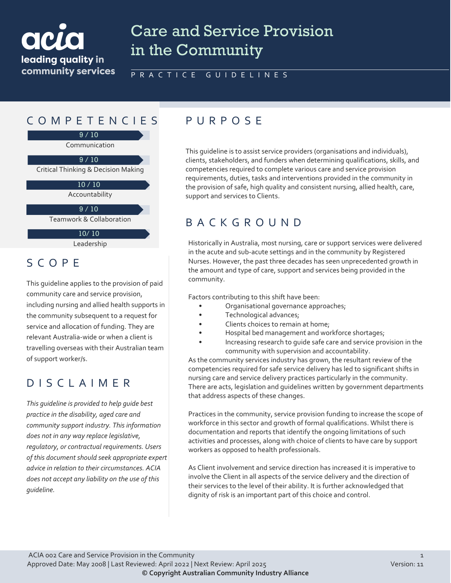

# Care and Service Provision in the Community

#### PRACTICE GUIDELINES

## COMPETENCIES PURPOS E

Communication 9 / 10

Critical Thinking & Decision Making  $9/10$ 

> Accountability 10 / 10

Teamwork & Collaboration  $9 / 10$ 

10/ 10

This guideline is to assist service providers (organisations and individuals), clients, stakeholders, and funders when determining qualifications, skills, and competencies required to complete various care and service provision requirements, duties, tasks and interventions provided in the community in the provision of safe, high quality and consistent nursing, allied health, care, support and services to Clients.

## BACKGROUND

Historically in Australia, most nursing, care or support services were delivered in the acute and sub-acute settings and in the community by Registered Nurses. However, the past three decades has seen unprecedented growth in the amount and type of care, support and services being provided in the community.

Factors contributing to this shift have been:

- Organisational governance approaches;
- Technological advances;
- Clients choices to remain at home;
- Hospital bed management and workforce shortages;
- Increasing research to guide safe care and service provision in the community with supervision and accountability.

As the community services industry has grown, the resultant review of the competencies required for safe service delivery has led to significant shifts in nursing care and service delivery practices particularly in the community. There are acts, legislation and guidelines written by government departments that address aspects of these changes.

Practices in the community, service provision funding to increase the scope of workforce in this sector and growth of formal qualifications. Whilst there is documentation and reports that identify the ongoing limitations of such activities and processes, along with choice of clients to have care by support workers as opposed to health professionals.

As Client involvement and service direction has increased it is imperative to involve the Client in all aspects of the service delivery and the direction of their services to the level of their ability. It is further acknowledged that dignity of risk is an important part of this choice and control.

Leadership

### SCOPE

This guideline applies to the provision of paid community care and service provision, including nursing and allied health supports in the community subsequent to a request for service and allocation of funding. They are relevant Australia-wide or when a client is travelling overseas with their Australian team of support worker/s.

## DISCLAIMER

*This guideline is provided to help guide best practice in the disability, aged care and community support industry. This information does not in any way replace legislative, regulatory, or contractual requirements. Users of this document should seek appropriate expert advice in relation to their circumstances. ACIA does not accept any liability on the use of this guideline.*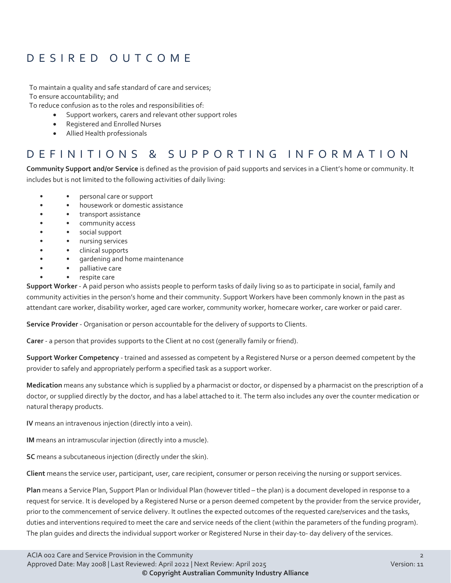## DESIRED OUTCOME

To maintain a quality and safe standard of care and services; To ensure accountability; and

To reduce confusion as to the roles and responsibilities of:

- Support workers, carers and relevant other support roles
- Registered and Enrolled Nurses
- Allied Health professionals

### DEFINITIONS & SUPPORTING INFORMATION

**Community Support and/or Service** is defined as the provision of paid supports and services in a Client's home or community. It includes but is not limited to the following activities of daily living:

- • personal care or support
- • **•** housework or domestic assistance
- • transport assistance
- • community access
- • social support
- • nursing services
- • clinical supports
- • gardening and home maintenance
	- • palliative care
- • respite care

**Support Worker** - A paid person who assists people to perform tasks of daily living so as to participate in social, family and community activities in the person's home and their community. Support Workers have been commonly known in the past as attendant care worker, disability worker, aged care worker, community worker, homecare worker, care worker or paid carer.

**Service Provider** - Organisation or person accountable for the delivery of supports to Clients.

**Carer** - a person that provides supports to the Client at no cost (generally family or friend).

**Support Worker Competency** - trained and assessed as competent by a Registered Nurse or a person deemed competent by the provider to safely and appropriately perform a specified task as a support worker.

**Medication** means any substance which is supplied by a pharmacist or doctor, or dispensed by a pharmacist on the prescription of a doctor, or supplied directly by the doctor, and has a label attached to it. The term also includes any over the counter medication or natural therapy products.

**IV** means an intravenous injection (directly into a vein).

**IM** means an intramuscular injection (directly into a muscle).

**SC** means a subcutaneous injection (directly under the skin).

**Client** means the service user, participant, user, care recipient, consumer or person receiving the nursing or support services.

**Plan** means a Service Plan, Support Plan or Individual Plan (however titled – the plan) is a document developed in response to a request for service. It is developed by a Registered Nurse or a person deemed competent by the provider from the service provider, prior to the commencement of service delivery. It outlines the expected outcomes of the requested care/services and the tasks, duties and interventions required to meet the care and service needs of the client (within the parameters of the funding program). The plan guides and directs the individual support worker or Registered Nurse in their day-to- day delivery of the services.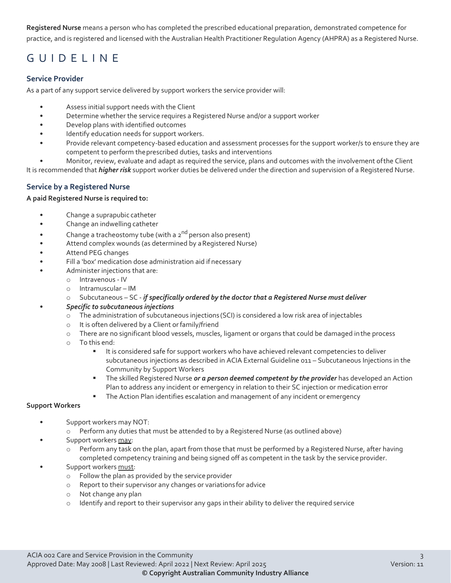**Registered Nurse** means a person who has completed the prescribed educational preparation, demonstrated competence for practice, and is registered and licensed with the Australian Health Practitioner Regulation Agency (AHPRA) as a Registered Nurse.

## GUIDELINE

#### **Service Provider**

As a part of any support service delivered by support workers the service provider will:

- Assess initial support needs with the Client
- Determine whether the service requires a Registered Nurse and/or a support worker
- Develop plans with identified outcomes
- Identify education needs for support workers.
- Provide relevant competency-based education and assessment processes for the support worker/s to ensure they are competent to perform theprescribed duties, tasks and interventions
- Monitor, review, evaluate and adapt as required the service, plans and outcomes with the involvement ofthe Client

It is recommended that *higher risk* support worker duties be delivered under the direction and supervision of a Registered Nurse.

#### **Service by a Registered Nurse**

#### **A paid Registered Nurse is required to:**

- Change a suprapubic catheter
- Change an indwelling catheter
- Change a tracheostomy tube (with a  $2^{nd}$  person also present)
- Attend complex wounds (as determined by aRegistered Nurse)
- Attend PEG changes
- Fill a 'box' medication dose administration aid if necessary
- Administer injections that are:
	- o Intravenous IV
	- o Intramuscular IM
	- o Subcutaneous SC *if specifically ordered by the doctor that a Registered Nurse must deliver*

#### • *Specific to subcutaneous injections*

- o The administration of subcutaneous injections (SCI) is considered a low risk area of injectables
- o It is often delivered by a Client orfamily/friend
- o There are no significant blood vessels, muscles, ligament or organs that could be damaged inthe process
- o To this end:
	- It is considered safe for support workers who have achieved relevant competencies to deliver subcutaneous injections as described in ACIA External Guideline 011 – Subcutaneous Injections in the Community by Support Workers
	- The skilled Registered Nurse *or a person deemed competent by the provider* has developed an Action Plan to address any incident or emergency in relation to their SC injection or medication error
	- **The Action Plan identifies escalation and management of any incident or emergency**

#### **Support Workers**

- Support workers may NOT:
	- o Perform any duties that must be attended to by a Registered Nurse (as outlined above)
- Support workers may:
	- o Perform any task on the plan, apart from those that must be performed by a Registered Nurse, after having completed competency training and being signed off as competent in the task by the service provider.
- Support workers must:
	- o Follow the plan as provided by the service provider
	- o Report to their supervisor any changes or variations for advice
	- o Not change any plan
	- $\circ$  Identify and report to their supervisor any gaps in their ability to deliver the required service